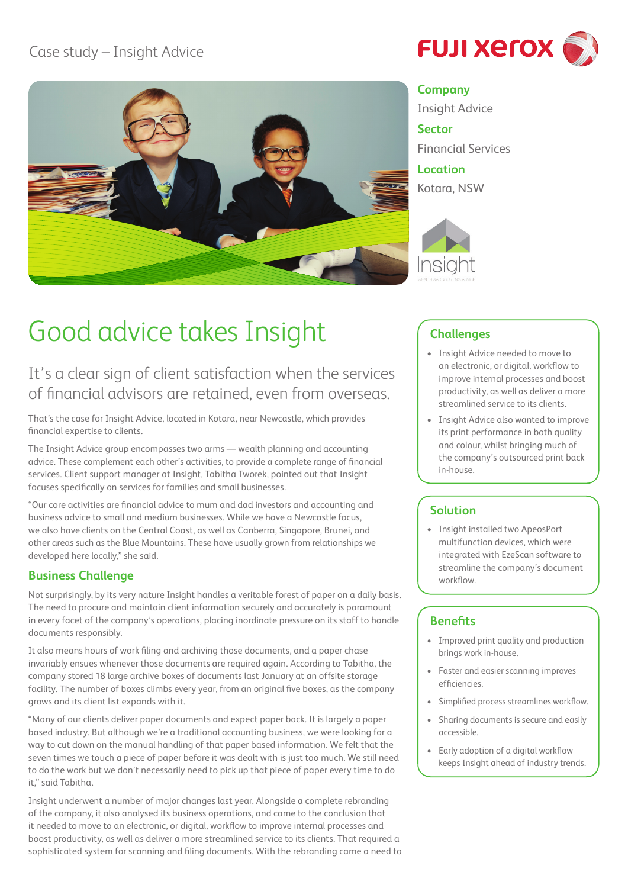## Case study – Insight Advice



# **FUJI XETOX**

#### **Company**

Insight Advice

**Sector** Financial Services **Location**

Kotara, NSW



## Good advice takes Insight

It's a clear sign of client satisfaction when the services of financial advisors are retained, even from overseas.

That's the case for Insight Advice, located in Kotara, near Newcastle, which provides financial expertise to clients.

The Insight Advice group encompasses two arms — wealth planning and accounting advice. These complement each other's activities, to provide a complete range of financial services. Client support manager at Insight, Tabitha Tworek, pointed out that Insight focuses specifically on services for families and small businesses.

"Our core activities are financial advice to mum and dad investors and accounting and business advice to small and medium businesses. While we have a Newcastle focus, we also have clients on the Central Coast, as well as Canberra, Singapore, Brunei, and other areas such as the Blue Mountains. These have usually grown from relationships we developed here locally," she said.

## **Business Challenge**

Not surprisingly, by its very nature Insight handles a veritable forest of paper on a daily basis. The need to procure and maintain client information securely and accurately is paramount in every facet of the company's operations, placing inordinate pressure on its staff to handle documents responsibly.

It also means hours of work filing and archiving those documents, and a paper chase invariably ensues whenever those documents are required again. According to Tabitha, the company stored 18 large archive boxes of documents last January at an offsite storage facility. The number of boxes climbs every year, from an original five boxes, as the company grows and its client list expands with it.

"Many of our clients deliver paper documents and expect paper back. It is largely a paper based industry. But although we're a traditional accounting business, we were looking for a way to cut down on the manual handling of that paper based information. We felt that the seven times we touch a piece of paper before it was dealt with is just too much. We still need to do the work but we don't necessarily need to pick up that piece of paper every time to do it," said Tabitha.

Insight underwent a number of major changes last year. Alongside a complete rebranding of the company, it also analysed its business operations, and came to the conclusion that it needed to move to an electronic, or digital, workflow to improve internal processes and boost productivity, as well as deliver a more streamlined service to its clients. That required a sophisticated system for scanning and filing documents. With the rebranding came a need to

## **Challenges**

- • Insight Advice needed to move to an electronic, or digital, workflow to improve internal processes and boost productivity, as well as deliver a more streamlined service to its clients.
- • Insight Advice also wanted to improve its print performance in both quality and colour, whilst bringing much of the company's outsourced print back in-house.

## **Solution**

• Insight installed two ApeosPort multifunction devices, which were integrated with EzeScan software to streamline the company's document workflow.

### **Benefits**

- • Improved print quality and production brings work in-house.
- • Faster and easier scanning improves efficiencies.
- • Simplified process streamlines workflow.
- • Sharing documents is secure and easily accessible.
- • Early adoption of a digital workflow keeps Insight ahead of industry trends.